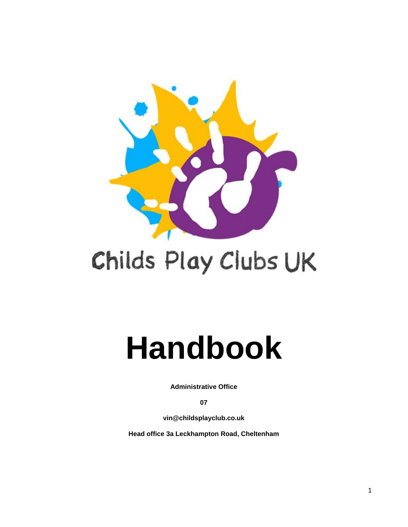

## Childs Play Clubs UK

# **Handbook**

**Administrative Office**

**07**

**vin@childsplayclub.co.uk**

**Head office 3a Leckhampton Road, Cheltenham**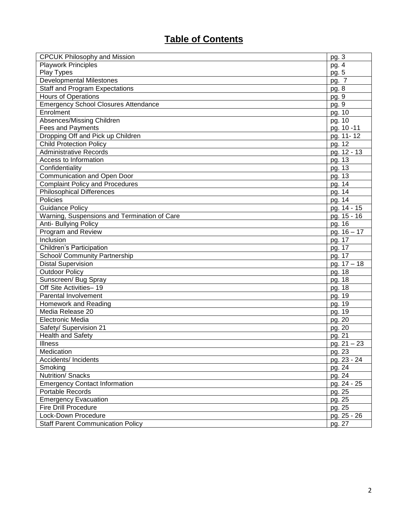#### **Table of Contents**

| <b>CPCUK Philosophy and Mission</b>          | pg. 3               |
|----------------------------------------------|---------------------|
| <b>Playwork Principles</b>                   | pg. 4               |
| Play Types                                   | pg. 5               |
| <b>Developmental Milestones</b>              | pg. 7               |
| <b>Staff and Program Expectations</b>        | pg. 8               |
| <b>Hours of Operations</b>                   | pg. 9               |
| <b>Emergency School Closures Attendance</b>  | pg. 9               |
| Enrolment                                    | pg. 10              |
| Absences/Missing Children                    | pg. 10              |
| Fees and Payments                            | pg. 10 -11          |
| Dropping Off and Pick up Children            | pg. 11-12           |
| <b>Child Protection Policy</b>               | pg. $\overline{12}$ |
| <b>Administrative Records</b>                | pg. 12 - 13         |
| Access to Information                        | $pg.$ 13            |
| Confidentiality                              | pg. $\overline{13}$ |
| Communication and Open Door                  | pg. 13              |
| <b>Complaint Policy and Procedures</b>       | $pg.$ 14            |
| <b>Philosophical Differences</b>             | pg. $\overline{14}$ |
| Policies                                     | pg. 14              |
| <b>Guidance Policy</b>                       | pg. 14 - 15         |
| Warning, Suspensions and Termination of Care | pg. 15 - 16         |
| <b>Anti- Bullying Policy</b>                 | pg. 16              |
| Program and Review                           | $pg. 16 - 17$       |
| Inclusion                                    | $pg.$ 17            |
| Children's Participation                     | $pg.$ 17            |
| School/ Community Partnership                | pg. 17              |
| <b>Distal Supervision</b>                    | $pg. 17 - 18$       |
| <b>Outdoor Policy</b>                        | pg. 18              |
| Sunscreen/ Bug Spray                         | pg. 18              |
| Off Site Activities-19                       | pg. 18              |
| Parental Involvement                         | pg. 19              |
| Homework and Reading                         | pg. 19              |
| Media Release 20                             | pg. 19              |
| Electronic Media                             | pg. 20              |
| Safety/ Supervision 21                       | pg. 20              |
| <b>Health and Safety</b>                     | pg. $21$            |
| <b>Illness</b>                               | pg. $21 - 23$       |
| Medication                                   | pg. 23              |
| Accidents/ Incidents                         | pg. $23 - 24$       |
| Smoking                                      | pg. 24              |
| Nutrition/ Snacks                            | pg. $24$            |
| <b>Emergency Contact Information</b>         | pg. $24 - 25$       |
| Portable Records                             | pg. 25              |
| <b>Emergency Evacuation</b>                  | pg. 25              |
| <b>Fire Drill Procedure</b>                  | pg. 25              |
| Lock-Down Procedure                          | pg. 25 - 26         |
| <b>Staff Parent Communication Policy</b>     | pg. 27              |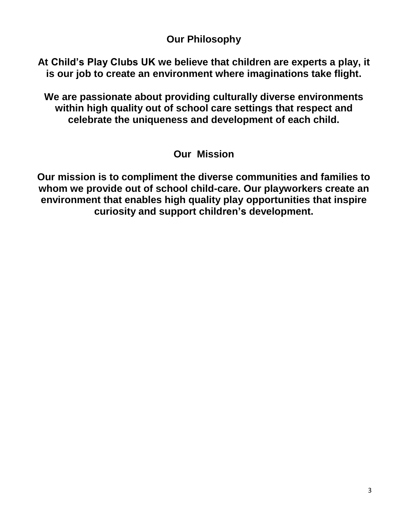**Our Philosophy**

**At Child's Play Clubs UK we believe that children are experts a play, it is our job to create an environment where imaginations take flight.**

**We are passionate about providing culturally diverse environments within high quality out of school care settings that respect and celebrate the uniqueness and development of each child.**

#### **Our Mission**

**Our mission is to compliment the diverse communities and families to whom we provide out of school child-care. Our playworkers create an environment that enables high quality play opportunities that inspire curiosity and support children's development.**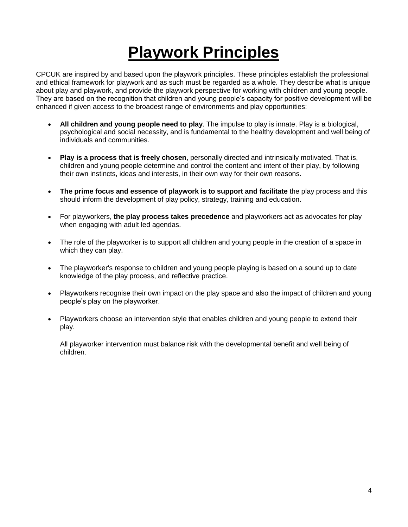### **Playwork Principles**

CPCUK are inspired by and based upon the playwork principles. These principles establish the professional and ethical framework for playwork and as such must be regarded as a whole. They describe what is unique about play and playwork, and provide the playwork perspective for working with children and young people. They are based on the recognition that children and young people's capacity for positive development will be enhanced if given access to the broadest range of environments and play opportunities:

- **All children and young people need to play**. The impulse to play is innate. Play is a biological, psychological and social necessity, and is fundamental to the healthy development and well being of individuals and communities.
- **Play is a process that is freely chosen**, personally directed and intrinsically motivated. That is, children and young people determine and control the content and intent of their play, by following their own instincts, ideas and interests, in their own way for their own reasons.
- **The prime focus and essence of playwork is to support and facilitate** the play process and this should inform the development of play policy, strategy, training and education.
- For playworkers, **the play process takes precedence** and playworkers act as advocates for play when engaging with adult led agendas.
- The role of the playworker is to support all children and young people in the creation of a space in which they can play.
- The playworker's response to children and young people playing is based on a sound up to date knowledge of the play process, and reflective practice.
- Playworkers recognise their own impact on the play space and also the impact of children and young people's play on the playworker.
- Playworkers choose an intervention style that enables children and young people to extend their play.

All playworker intervention must balance risk with the developmental benefit and well being of children.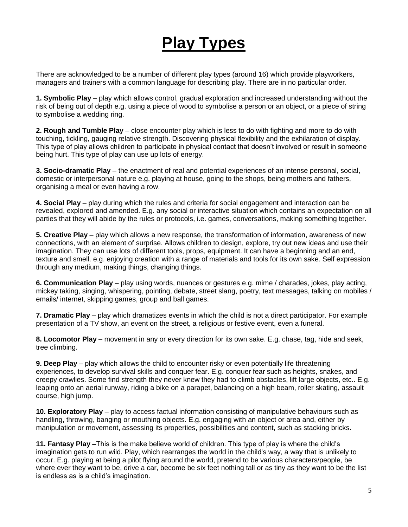### **Play Types**

There are acknowledged to be a number of different play types (around 16) which provide playworkers, managers and trainers with a common language for describing play. There are in no particular order.

**1. Symbolic Play** – play which allows control, gradual exploration and increased understanding without the risk of being out of depth e.g. using a piece of wood to symbolise a person or an object, or a piece of string to symbolise a wedding ring.

**2. Rough and Tumble Play** – close encounter play which is less to do with fighting and more to do with touching, tickling, gauging relative strength. Discovering physical flexibility and the exhilaration of display. This type of play allows children to participate in physical contact that doesn't involved or result in someone being hurt. This type of play can use up lots of energy.

**3. Socio-dramatic Play** – the enactment of real and potential experiences of an intense personal, social, domestic or interpersonal nature e.g. playing at house, going to the shops, being mothers and fathers, organising a meal or even having a row.

**4. Social Play** – play during which the rules and criteria for social engagement and interaction can be revealed, explored and amended. E.g. any social or interactive situation which contains an expectation on all parties that they will abide by the rules or protocols, i.e. games, conversations, making something together.

**5. Creative Play** – play which allows a new response, the transformation of information, awareness of new connections, with an element of surprise. Allows children to design, explore, try out new ideas and use their imagination. They can use lots of different tools, props, equipment. It can have a beginning and an end, texture and smell. e.g. enjoying creation with a range of materials and tools for its own sake. Self expression through any medium, making things, changing things.

**6. Communication Play** – play using words, nuances or gestures e.g. mime / charades, jokes, play acting, mickey taking, singing, whispering, pointing, debate, street slang, poetry, text messages, talking on mobiles / emails/ internet, skipping games, group and ball games.

**7. Dramatic Play** – play which dramatizes events in which the child is not a direct participator. For example presentation of a TV show, an event on the street, a religious or festive event, even a funeral.

**8. Locomotor Play** – movement in any or every direction for its own sake. E.g. chase, tag, hide and seek, tree climbing.

**9. Deep Play** – play which allows the child to encounter risky or even potentially life threatening experiences, to develop survival skills and conquer fear. E.g. conquer fear such as heights, snakes, and creepy crawlies. Some find strength they never knew they had to climb obstacles, lift large objects, etc.. E.g. leaping onto an aerial runway, riding a bike on a parapet, balancing on a high beam, roller skating, assault course, high jump.

**10. Exploratory Play** – play to access factual information consisting of manipulative behaviours such as handling, throwing, banging or mouthing objects. E.g. engaging with an object or area and, either by manipulation or movement, assessing its properties, possibilities and content, such as stacking bricks.

**11. Fantasy Play –**This is the make believe world of children. This type of play is where the child's imagination gets to run wild. Play, which rearranges the world in the child's way, a way that is unlikely to occur. E.g. playing at being a pilot flying around the world, pretend to be various characters/people, be where ever they want to be, drive a car, become be six feet nothing tall or as tiny as they want to be the list is endless as is a child's imagination.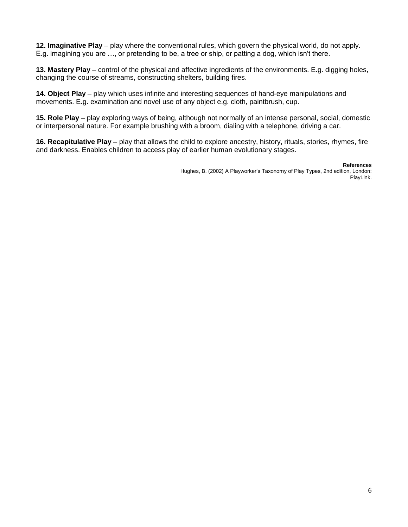**12. Imaginative Play** – play where the conventional rules, which govern the physical world, do not apply. E.g. imagining you are …, or pretending to be, a tree or ship, or patting a dog, which isn't there.

**13. Mastery Play** – control of the physical and affective ingredients of the environments. E.g. digging holes, changing the course of streams, constructing shelters, building fires.

**14. Object Play** – play which uses infinite and interesting sequences of hand-eye manipulations and movements. E.g. examination and novel use of any object e.g. cloth, paintbrush, cup.

**15. Role Play** – play exploring ways of being, although not normally of an intense personal, social, domestic or interpersonal nature. For example brushing with a broom, dialing with a telephone, driving a car.

**16. Recapitulative Play** – play that allows the child to explore ancestry, history, rituals, stories, rhymes, fire and darkness. Enables children to access play of earlier human evolutionary stages.

> **References** Hughes, B. (2002) A Playworker's Taxonomy of Play Types, 2nd edition, London: PlayLink.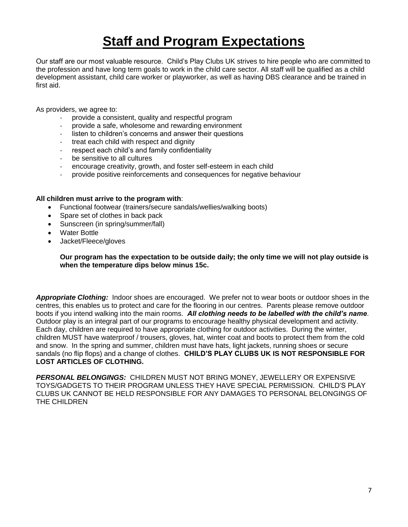### **Staff and Program Expectations**

Our staff are our most valuable resource. Child's Play Clubs UK strives to hire people who are committed to the profession and have long term goals to work in the child care sector. All staff will be qualified as a child development assistant, child care worker or playworker, as well as having DBS clearance and be trained in first aid.

As providers, we agree to:

- provide a consistent, quality and respectful program
- provide a safe, wholesome and rewarding environment
- listen to children's concerns and answer their questions
- treat each child with respect and dignity
- respect each child's and family confidentiality
- be sensitive to all cultures
- encourage creativity, growth, and foster self-esteem in each child
- provide positive reinforcements and consequences for negative behaviour

#### **All children must arrive to the program with**:

- Functional footwear (trainers/secure sandals/wellies/walking boots)
- Spare set of clothes in back pack
- Sunscreen (in spring/summer/fall)
- Water Bottle
- Jacket/Fleece/gloves

**Our program has the expectation to be outside daily; the only time we will not play outside is when the temperature dips below minus 15c.**

*Appropriate Clothing:* Indoor shoes are encouraged. We prefer not to wear boots or outdoor shoes in the centres, this enables us to protect and care for the flooring in our centres. Parents please remove outdoor boots if you intend walking into the main rooms. *All clothing needs to be labelled with the child's name*. Outdoor play is an integral part of our programs to encourage healthy physical development and activity. Each day, children are required to have appropriate clothing for outdoor activities. During the winter, children MUST have waterproof / trousers, gloves, hat, winter coat and boots to protect them from the cold and snow. In the spring and summer, children must have hats, light jackets, running shoes or secure sandals (no flip flops) and a change of clothes. **CHILD'S PLAY CLUBS UK IS NOT RESPONSIBLE FOR LOST ARTICLES OF CLOTHING.**

*PERSONAL BELONGINGS:* CHILDREN MUST NOT BRING MONEY, JEWELLERY OR EXPENSIVE TOYS/GADGETS TO THEIR PROGRAM UNLESS THEY HAVE SPECIAL PERMISSION. CHILD'S PLAY CLUBS UK CANNOT BE HELD RESPONSIBLE FOR ANY DAMAGES TO PERSONAL BELONGINGS OF THE CHILDREN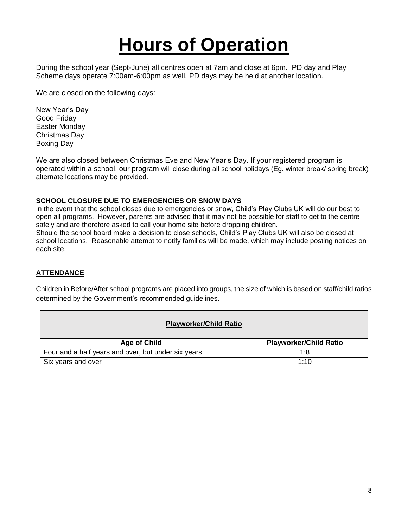### **Hours of Operation**

During the school year (Sept-June) all centres open at 7am and close at 6pm. PD day and Play Scheme days operate 7:00am-6:00pm as well. PD days may be held at another location.

We are closed on the following days:

New Year's Day Good Friday Easter Monday Christmas Day Boxing Day

We are also closed between Christmas Eve and New Year's Day. If your registered program is operated within a school, our program will close during all school holidays (Eg. winter break/ spring break) alternate locations may be provided.

#### **SCHOOL CLOSURE DUE TO EMERGENCIES OR SNOW DAYS**

In the event that the school closes due to emergencies or snow, Child's Play Clubs UK will do our best to open all programs. However, parents are advised that it may not be possible for staff to get to the centre safely and are therefore asked to call your home site before dropping children.

Should the school board make a decision to close schools, Child's Play Clubs UK will also be closed at school locations. Reasonable attempt to notify families will be made, which may include posting notices on each site.

#### **ATTENDANCE**

Children in Before/After school programs are placed into groups, the size of which is based on staff/child ratios determined by the Government's recommended guidelines.

| <b>Playworker/Child Ratio</b>                       |                               |
|-----------------------------------------------------|-------------------------------|
| <b>Age of Child</b>                                 | <b>Playworker/Child Ratio</b> |
| Four and a half years and over, but under six years | 1:8                           |
| Six years and over                                  | 1:10                          |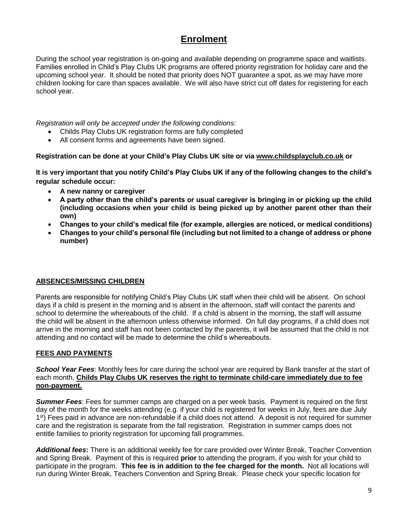#### **Enrolment**

During the school year registration is on-going and available depending on programme space and waitlists. Families enrolled in Child's Play Clubs UK programs are offered priority registration for holiday care and the upcoming school year. It should be noted that priority does NOT guarantee a spot, as we may have more children looking for care than spaces available. We will also have strict cut off dates for registering for each school year.

*Registration will only be accepted under the following conditions:*

- Childs Play Clubs UK registration forms are fully completed
- All consent forms and agreements have been signed.

**Registration can be done at your Child's Play Clubs UK site or via [www.childsplayclub.co.uk](http://www.childsplayclub.co.uk/) or** 

**It is very important that you notify Child's Play Clubs UK if any of the following changes to the child's regular schedule occur:**

- **A new nanny or caregiver**
- **A party other than the child's parents or usual caregiver is bringing in or picking up the child (including occasions when your child is being picked up by another parent other than their own)**
- **Changes to your child's medical file (for example, allergies are noticed, or medical conditions)**
- **Changes to your child's personal file (including but not limited to a change of address or phone number)**

#### **ABSENCES/MISSING CHILDREN**

Parents are responsible for notifying Child's Play Clubs UK staff when their child will be absent. On school days if a child is present in the morning and is absent in the afternoon, staff will contact the parents and school to determine the whereabouts of the child. If a child is absent in the morning, the staff will assume the child will be absent in the afternoon unless otherwise informed. On full day programs, if a child does not arrive in the morning and staff has not been contacted by the parents, it will be assumed that the child is not attending and no contact will be made to determine the child's whereabouts.

#### **FEES AND PAYMENTS**

*School Year Fees*: Monthly fees for care during the school year are required by Bank transfer at the start of each month. **Childs Play Clubs UK reserves the right to terminate child-care immediately due to fee non-payment.**

*Summer Fees*: Fees for summer camps are charged on a per week basis. Payment is required on the first day of the month for the weeks attending (e.g. if your child is registered for weeks in July, fees are due July 1<sup>st</sup>) Fees paid in advance are non-refundable if a child does not attend. A deposit is not required for summer care and the registration is separate from the fall registration. Registration in summer camps does not entitle families to priority registration for upcoming fall programmes.

*Additional fees***:** There is an additional weekly fee for care provided over Winter Break, Teacher Convention and Spring Break. Payment of this is required **prior** to attending the program, if you wish for your child to participate in the program. **This fee is in addition to the fee charged for the month.** Not all locations will run during Winter Break, Teachers Convention and Spring Break. Please check your specific location for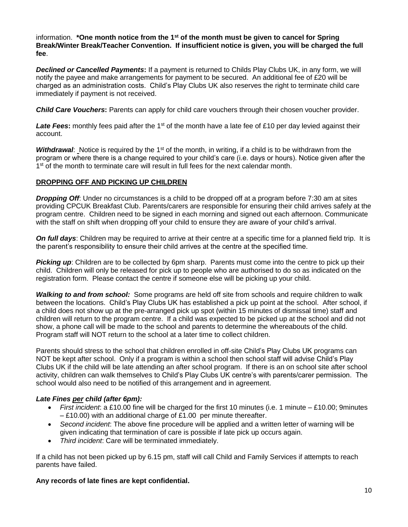information. \*One month notice from the 1<sup>st</sup> of the month must be given to cancel for Spring **Break/Winter Break/Teacher Convention. If insufficient notice is given, you will be charged the full fee**.

*Declined or Cancelled Payments***:** If a payment is returned to Childs Play Clubs UK, in any form, we will notify the payee and make arrangements for payment to be secured. An additional fee of £20 will be charged as an administration costs. Child's Play Clubs UK also reserves the right to terminate child care immediately if payment is not received.

*Child Care Vouchers***:** Parents can apply for child care vouchers through their chosen voucher provider.

Late Fees: monthly fees paid after the 1<sup>st</sup> of the month have a late fee of £10 per day levied against their account.

**Withdrawal:** Notice is required by the 1<sup>st</sup> of the month, in writing, if a child is to be withdrawn from the program or where there is a change required to your child's care (i.e. days or hours). Notice given after the 1<sup>st</sup> of the month to terminate care will result in full fees for the next calendar month.

#### **DROPPING OFF AND PICKING UP CHILDREN**

*Dropping Off*: Under no circumstances is a child to be dropped off at a program before 7:30 am at sites providing CPCUK Breakfast Club. Parents/carers are responsible for ensuring their child arrives safely at the program centre. Children need to be signed in each morning and signed out each afternoon. Communicate with the staff on shift when dropping off your child to ensure they are aware of your child's arrival.

*On full days*: Children may be required to arrive at their centre at a specific time for a planned field trip. It is the parent's responsibility to ensure their child arrives at the centre at the specified time.

**Picking up**: Children are to be collected by 6pm sharp. Parents must come into the centre to pick up their child. Children will only be released for pick up to people who are authorised to do so as indicated on the registration form. Please contact the centre if someone else will be picking up your child.

*Walking to and from school:* Some programs are held off site from schools and require children to walk between the locations. Child's Play Clubs UK has established a pick up point at the school. After school, if a child does not show up at the pre-arranged pick up spot (within 15 minutes of dismissal time) staff and children will return to the program centre. If a child was expected to be picked up at the school and did not show, a phone call will be made to the school and parents to determine the whereabouts of the child. Program staff will NOT return to the school at a later time to collect children.

Parents should stress to the school that children enrolled in off-site Child's Play Clubs UK programs can NOT be kept after school. Only if a program is within a school then school staff will advise Child's Play Clubs UK if the child will be late attending an after school program. If there is an on school site after school activity, children can walk themselves to Child's Play Clubs UK centre's with parents/carer permission. The school would also need to be notified of this arrangement and in agreement.

#### *Late Fines per child (after 6pm):*

- *First incident*: a £10.00 fine will be charged for the first 10 minutes (i.e. 1 minute £10.00; 9minutes  $-$  £10.00) with an additional charge of £1.00 per minute thereafter.
- *Second incident*: The above fine procedure will be applied and a written letter of warning will be given indicating that termination of care is possible if late pick up occurs again.
- *Third incident*: Care will be terminated immediately.

If a child has not been picked up by 6.15 pm, staff will call Child and Family Services if attempts to reach parents have failed.

#### **Any records of late fines are kept confidential.**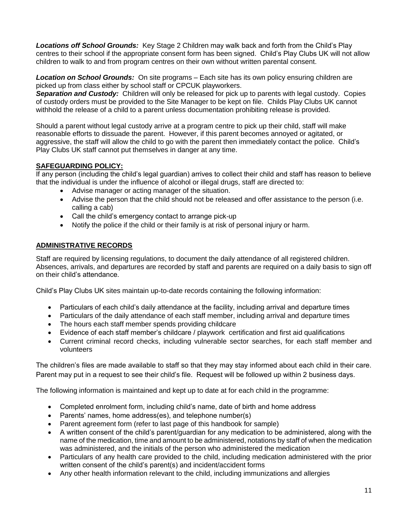*Locations off School Grounds:* Key Stage 2 Children may walk back and forth from the Child's Play centres to their school if the appropriate consent form has been signed. Child's Play Clubs UK will not allow children to walk to and from program centres on their own without written parental consent.

*Location on School Grounds:* On site programs – Each site has its own policy ensuring children are picked up from class either by school staff or CPCUK playworkers.

*Separation and Custody:* Children will only be released for pick up to parents with legal custody. Copies of custody orders must be provided to the Site Manager to be kept on file. Childs Play Clubs UK cannot withhold the release of a child to a parent unless documentation prohibiting release is provided.

Should a parent without legal custody arrive at a program centre to pick up their child, staff will make reasonable efforts to dissuade the parent. However, if this parent becomes annoyed or agitated, or aggressive, the staff will allow the child to go with the parent then immediately contact the police. Child's Play Clubs UK staff cannot put themselves in danger at any time.

#### **SAFEGUARDING POLICY:**

If any person (including the child's legal guardian) arrives to collect their child and staff has reason to believe that the individual is under the influence of alcohol or illegal drugs, staff are directed to:

- Advise manager or acting manager of the situation.
- Advise the person that the child should not be released and offer assistance to the person (i.e. calling a cab)
- Call the child's emergency contact to arrange pick-up
- Notify the police if the child or their family is at risk of personal injury or harm.

#### **ADMINISTRATIVE RECORDS**

Staff are required by licensing regulations, to document the daily attendance of all registered children. Absences, arrivals, and departures are recorded by staff and parents are required on a daily basis to sign off on their child's attendance.

Child's Play Clubs UK sites maintain up-to-date records containing the following information:

- Particulars of each child's daily attendance at the facility, including arrival and departure times
- Particulars of the daily attendance of each staff member, including arrival and departure times
- The hours each staff member spends providing childcare
- Evidence of each staff member's childcare / playwork certification and first aid qualifications
- Current criminal record checks, including vulnerable sector searches, for each staff member and volunteers

The children's files are made available to staff so that they may stay informed about each child in their care. Parent may put in a request to see their child's file. Request will be followed up within 2 business days.

The following information is maintained and kept up to date at for each child in the programme:

- Completed enrolment form, including child's name, date of birth and home address
- Parents' names, home address(es), and telephone number(s)
- Parent agreement form (refer to last page of this handbook for sample)
- A written consent of the child's parent/guardian for any medication to be administered, along with the name of the medication, time and amount to be administered, notations by staff of when the medication was administered, and the initials of the person who administered the medication
- Particulars of any health care provided to the child, including medication administered with the prior written consent of the child's parent(s) and incident/accident forms
- Any other health information relevant to the child, including immunizations and allergies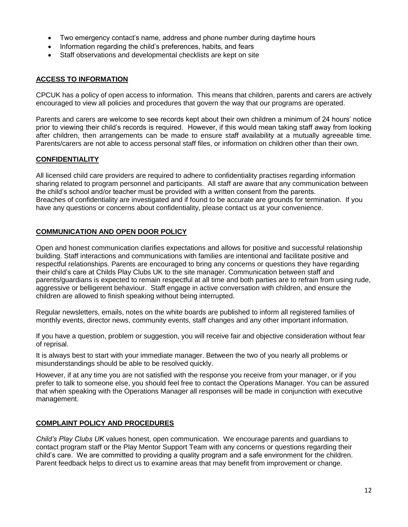- Two emergency contact's name, address and phone number during daytime hours
- Information regarding the child's preferences, habits, and fears
- Staff observations and developmental checklists are kept on site

#### **ACCESS TO INFORMATION**

CPCUK has a policy of open access to information. This means that children, parents and carers are actively encouraged to view all policies and procedures that govern the way that our programs are operated.

Parents and carers are welcome to see records kept about their own children a minimum of 24 hours' notice prior to viewing their child's records is required. However, if this would mean taking staff away from looking after children, then arrangements can be made to ensure staff availability at a mutually agreeable time. Parents/carers are not able to access personal staff files, or information on children other than their own.

#### **CONFIDENTIALITY**

All licensed child care providers are required to adhere to confidentiality practises regarding information sharing related to program personnel and participants. All staff are aware that any communication between the child's school and/or teacher must be provided with a written consent from the parents. Breaches of confidentiality are investigated and if found to be accurate are grounds for termination. If you have any questions or concerns about confidentiality, please contact us at your convenience.

#### **COMMUNICATION AND OPEN DOOR POLICY**

Open and honest communication clarifies expectations and allows for positive and successful relationship building. Staff interactions and communications with families are intentional and facilitate positive and respectful relationships. Parents are encouraged to bring any concerns or questions they have regarding their child's care at Childs Play Clubs UK to the site manager. Communication between staff and parents/guardians is expected to remain respectful at all time and both parties are to refrain from using rude, aggressive or belligerent behaviour. Staff engage in active conversation with children, and ensure the children are allowed to finish speaking without being interrupted.

Regular newsletters, emails, notes on the white boards are published to inform all registered families of monthly events, director news, community events, staff changes and any other important information.

If you have a question, problem or suggestion, you will receive fair and objective consideration without fear of reprisal.

It is always best to start with your immediate manager. Between the two of you nearly all problems or misunderstandings should be able to be resolved quickly.

However, if at any time you are not satisfied with the response you receive from your manager, or if you prefer to talk to someone else, you should feel free to contact the Operations Manager. You can be assured that when speaking with the Operations Manager all responses will be made in conjunction with executive management.

#### **COMPLAINT POLICY AND PROCEDURES**

*Child's Play Clubs UK* values honest, open communication. We encourage parents and guardians to contact program staff or the Play Mentor Support Team with any concerns or questions regarding their child's care. We are committed to providing a quality program and a safe environment for the children. Parent feedback helps to direct us to examine areas that may benefit from improvement or change.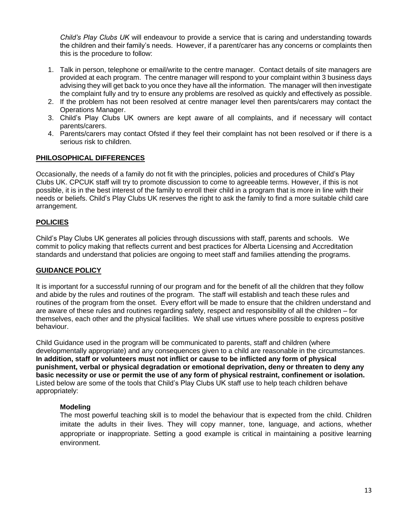*Child's Play Clubs UK* will endeavour to provide a service that is caring and understanding towards the children and their family's needs. However, if a parent/carer has any concerns or complaints then this is the procedure to follow:

- 1. Talk in person, telephone or email/write to the centre manager. Contact details of site managers are provided at each program. The centre manager will respond to your complaint within 3 business days advising they will get back to you once they have all the information. The manager will then investigate the complaint fully and try to ensure any problems are resolved as quickly and effectively as possible.
- 2. If the problem has not been resolved at centre manager level then parents/carers may contact the Operations Manager.
- 3. Child's Play Clubs UK owners are kept aware of all complaints, and if necessary will contact parents/carers.
- 4. Parents/carers may contact Ofsted if they feel their complaint has not been resolved or if there is a serious risk to children.

#### **PHILOSOPHICAL DIFFERENCES**

Occasionally, the needs of a family do not fit with the principles, policies and procedures of Child's Play Clubs UK. CPCUK staff will try to promote discussion to come to agreeable terms. However, if this is not possible, it is in the best interest of the family to enroll their child in a program that is more in line with their needs or beliefs. Child's Play Clubs UK reserves the right to ask the family to find a more suitable child care arrangement.

#### **POLICIES**

Child's Play Clubs UK generates all policies through discussions with staff, parents and schools. We commit to policy making that reflects current and best practices for Alberta Licensing and Accreditation standards and understand that policies are ongoing to meet staff and families attending the programs.

#### **GUIDANCE POLICY**

It is important for a successful running of our program and for the benefit of all the children that they follow and abide by the rules and routines of the program. The staff will establish and teach these rules and routines of the program from the onset. Every effort will be made to ensure that the children understand and are aware of these rules and routines regarding safety, respect and responsibility of all the children – for themselves, each other and the physical facilities. We shall use virtues where possible to express positive behaviour.

Child Guidance used in the program will be communicated to parents, staff and children (where developmentally appropriate) and any consequences given to a child are reasonable in the circumstances. **In addition, staff or volunteers must not inflict or cause to be inflicted any form of physical punishment, verbal or physical degradation or emotional deprivation, deny or threaten to deny any basic necessity or use or permit the use of any form of physical restraint, confinement or isolation.** Listed below are some of the tools that Child's Play Clubs UK staff use to help teach children behave appropriately:

#### **Modeling**

The most powerful teaching skill is to model the behaviour that is expected from the child. Children imitate the adults in their lives. They will copy manner, tone, language, and actions, whether appropriate or inappropriate. Setting a good example is critical in maintaining a positive learning environment.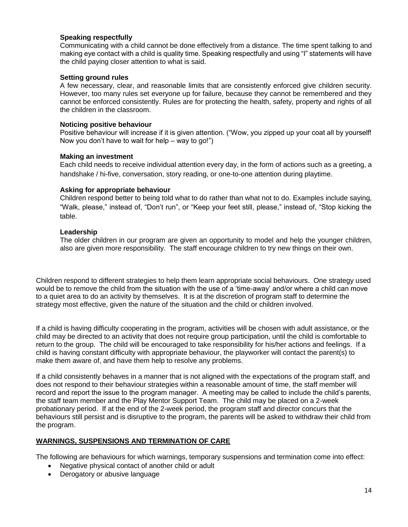#### **Speaking respectfully**

Communicating with a child cannot be done effectively from a distance. The time spent talking to and making eye contact with a child is quality time. Speaking respectfully and using "I" statements will have the child paying closer attention to what is said.

#### **Setting ground rules**

A few necessary, clear, and reasonable limits that are consistently enforced give children security. However, too many rules set everyone up for failure, because they cannot be remembered and they cannot be enforced consistently. Rules are for protecting the health, safety, property and rights of all the children in the classroom.

#### **Noticing positive behaviour**

Positive behaviour will increase if it is given attention. ("Wow, you zipped up your coat all by yourself! Now you don't have to wait for help – way to go!")

#### **Making an investment**

Each child needs to receive individual attention every day, in the form of actions such as a greeting, a handshake / hi-five, conversation, story reading, or one-to-one attention during playtime.

#### **Asking for appropriate behaviour**

Children respond better to being told what to do rather than what not to do. Examples include saying, "Walk, please," instead of, "Don't run", or "Keep your feet still, please," instead of, "Stop kicking the table.

#### **Leadership**

The older children in our program are given an opportunity to model and help the younger children, also are given more responsibility. The staff encourage children to try new things on their own.

Children respond to different strategies to help them learn appropriate social behaviours. One strategy used would be to remove the child from the situation with the use of a 'time-away' and/or where a child can move to a quiet area to do an activity by themselves. It is at the discretion of program staff to determine the strategy most effective, given the nature of the situation and the child or children involved.

If a child is having difficulty cooperating in the program, activities will be chosen with adult assistance, or the child may be directed to an activity that does not require group participation, until the child is comfortable to return to the group. The child will be encouraged to take responsibility for his/her actions and feelings. If a child is having constant difficulty with appropriate behaviour, the playworker will contact the parent(s) to make them aware of, and have them help to resolve any problems.

If a child consistently behaves in a manner that is not aligned with the expectations of the program staff, and does not respond to their behaviour strategies within a reasonable amount of time, the staff member will record and report the issue to the program manager. A meeting may be called to include the child's parents, the staff team member and the Play Mentor Support Team. The child may be placed on a 2-week probationary period. If at the end of the 2-week period, the program staff and director concurs that the behaviours still persist and is disruptive to the program, the parents will be asked to withdraw their child from the program.

#### **WARNINGS, SUSPENSIONS AND TERMINATION OF CARE**

The following are behaviours for which warnings, temporary suspensions and termination come into effect:

- Negative physical contact of another child or adult
- Derogatory or abusive language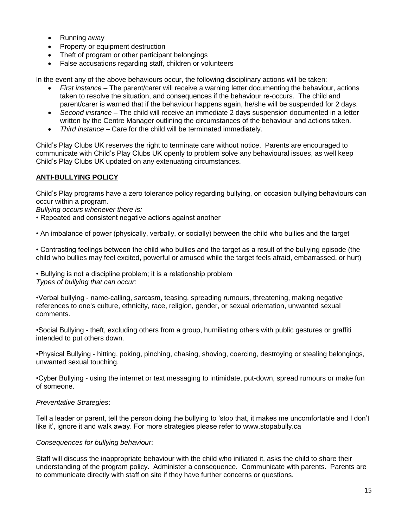- Running away
- Property or equipment destruction
- Theft of program or other participant belongings
- False accusations regarding staff, children or volunteers

In the event any of the above behaviours occur, the following disciplinary actions will be taken:

- *First instance* The parent/carer will receive a warning letter documenting the behaviour, actions taken to resolve the situation, and consequences if the behaviour re-occurs. The child and parent/carer is warned that if the behaviour happens again, he/she will be suspended for 2 days.
- *Second instance* The child will receive an immediate 2 days suspension documented in a letter written by the Centre Manager outlining the circumstances of the behaviour and actions taken.
- *Third instance* Care for the child will be terminated immediately.

Child's Play Clubs UK reserves the right to terminate care without notice. Parents are encouraged to communicate with Child's Play Clubs UK openly to problem solve any behavioural issues, as well keep Child's Play Clubs UK updated on any extenuating circumstances.

#### **ANTI-BULLYING POLICY**

Child's Play programs have a zero tolerance policy regarding bullying, on occasion bullying behaviours can occur within a program.

*Bullying occurs whenever there is:*

• Repeated and consistent negative actions against another

• An imbalance of power (physically, verbally, or socially) between the child who bullies and the target

• Contrasting feelings between the child who bullies and the target as a result of the bullying episode (the child who bullies may feel excited, powerful or amused while the target feels afraid, embarrassed, or hurt)

• Bullying is not a discipline problem; it is a relationship problem *Types of bullying that can occur:*

•Verbal bullying - name-calling, sarcasm, teasing, spreading rumours, threatening, making negative references to one's culture, ethnicity, race, religion, gender, or sexual orientation, unwanted sexual comments.

•Social Bullying - theft, excluding others from a group, humiliating others with public gestures or graffiti intended to put others down.

•Physical Bullying - hitting, poking, pinching, chasing, shoving, coercing, destroying or stealing belongings, unwanted sexual touching.

•Cyber Bullying - using the internet or text messaging to intimidate, put-down, spread rumours or make fun of someone.

#### *Preventative Strategies*:

Tell a leader or parent, tell the person doing the bullying to 'stop that, it makes me uncomfortable and I don't like it', ignore it and walk away. For more strategies please refer to [www.stopabully.ca](http://www.stopabully.ca/)

#### *Consequences for bullying behaviour*:

Staff will discuss the inappropriate behaviour with the child who initiated it, asks the child to share their understanding of the program policy. Administer a consequence. Communicate with parents. Parents are to communicate directly with staff on site if they have further concerns or questions.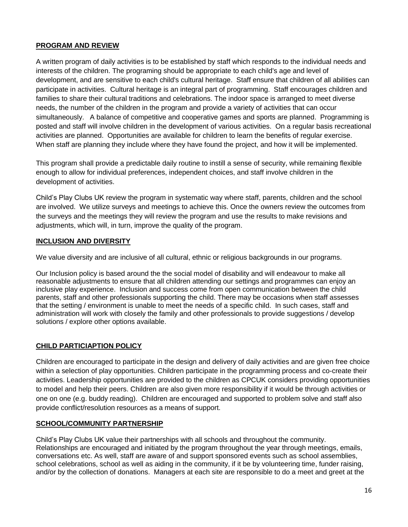#### **PROGRAM AND REVIEW**

A written program of daily activities is to be established by staff which responds to the individual needs and interests of the children. The programing should be appropriate to each child's age and level of development, and are sensitive to each child's cultural heritage. Staff ensure that children of all abilities can participate in activities. Cultural heritage is an integral part of programming. Staff encourages children and families to share their cultural traditions and celebrations. The indoor space is arranged to meet diverse needs, the number of the children in the program and provide a variety of activities that can occur simultaneously. A balance of competitive and cooperative games and sports are planned. Programming is posted and staff will involve children in the development of various activities. On a regular basis recreational activities are planned. Opportunities are available for children to learn the benefits of regular exercise. When staff are planning they include where they have found the project, and how it will be implemented.

This program shall provide a predictable daily routine to instill a sense of security, while remaining flexible enough to allow for individual preferences, independent choices, and staff involve children in the development of activities.

Child's Play Clubs UK review the program in systematic way where staff, parents, children and the school are involved. We utilize surveys and meetings to achieve this. Once the owners review the outcomes from the surveys and the meetings they will review the program and use the results to make revisions and adjustments, which will, in turn, improve the quality of the program.

#### **INCLUSION AND DIVERSITY**

We value diversity and are inclusive of all cultural, ethnic or religious backgrounds in our programs.

Our Inclusion policy is based around the the social model of disability and will endeavour to make all reasonable adjustments to ensure that all children attending our settings and programmes can enjoy an inclusive play experience. Inclusion and success come from open communication between the child parents, staff and other professionals supporting the child. There may be occasions when staff assesses that the setting / environment is unable to meet the needs of a specific child. In such cases, staff and administration will work with closely the family and other professionals to provide suggestions / develop solutions / explore other options available.

#### **CHILD PARTICIAPTION POLICY**

Children are encouraged to participate in the design and delivery of daily activities and are given free choice within a selection of play opportunities. Children participate in the programming process and co-create their activities. Leadership opportunities are provided to the children as CPCUK considers providing opportunities to model and help their peers. Children are also given more responsibility if it would be through activities or one on one (e.g. buddy reading). Children are encouraged and supported to problem solve and staff also provide conflict/resolution resources as a means of support.

#### **SCHOOL/COMMUNITY PARTNERSHIP**

Child's Play Clubs UK value their partnerships with all schools and throughout the community. Relationships are encouraged and initiated by the program throughout the year through meetings, emails, conversations etc. As well, staff are aware of and support sponsored events such as school assemblies, school celebrations, school as well as aiding in the community, if it be by volunteering time, funder raising, and/or by the collection of donations. Managers at each site are responsible to do a meet and greet at the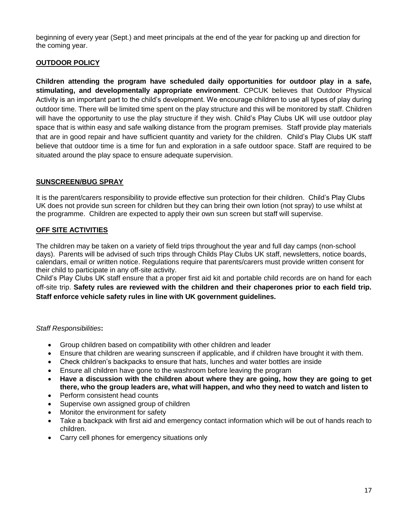beginning of every year (Sept.) and meet principals at the end of the year for packing up and direction for the coming year.

#### **OUTDOOR POLICY**

**Children attending the program have scheduled daily opportunities for outdoor play in a safe, stimulating, and developmentally appropriate environment**. CPCUK believes that Outdoor Physical Activity is an important part to the child's development. We encourage children to use all types of play during outdoor time. There will be limited time spent on the play structure and this will be monitored by staff. Children will have the opportunity to use the play structure if they wish. Child's Play Clubs UK will use outdoor play space that is within easy and safe walking distance from the program premises. Staff provide play materials that are in good repair and have sufficient quantity and variety for the children.Child's Play Clubs UK staff believe that outdoor time is a time for fun and exploration in a safe outdoor space. Staff are required to be situated around the play space to ensure adequate supervision.

#### **SUNSCREEN/BUG SPRAY**

It is the parent/carers responsibility to provide effective sun protection for their children. Child's Play Clubs UK does not provide sun screen for children but they can bring their own lotion (not spray) to use whilst at the programme. Children are expected to apply their own sun screen but staff will supervise.

#### **OFF SITE ACTIVITIES**

The children may be taken on a variety of field trips throughout the year and full day camps (non-school days). Parents will be advised of such trips through Childs Play Clubs UK staff, newsletters, notice boards, calendars, email or written notice. Regulations require that parents/carers must provide written consent for their child to participate in any off-site activity.

Child's Play Clubs UK staff ensure that a proper first aid kit and portable child records are on hand for each off-site trip. **Safety rules are reviewed with the children and their chaperones prior to each field trip. Staff enforce vehicle safety rules in line with UK government guidelines.**

#### *Staff Responsibilities***:**

- Group children based on compatibility with other children and leader
- Ensure that children are wearing sunscreen if applicable, and if children have brought it with them.
- Check children's backpacks to ensure that hats, lunches and water bottles are inside
- Ensure all children have gone to the washroom before leaving the program
- **Have a discussion with the children about where they are going, how they are going to get there, who the group leaders are, what will happen, and who they need to watch and listen to**
- Perform consistent head counts
- Supervise own assigned group of children
- Monitor the environment for safety
- Take a backpack with first aid and emergency contact information which will be out of hands reach to children.
- Carry cell phones for emergency situations only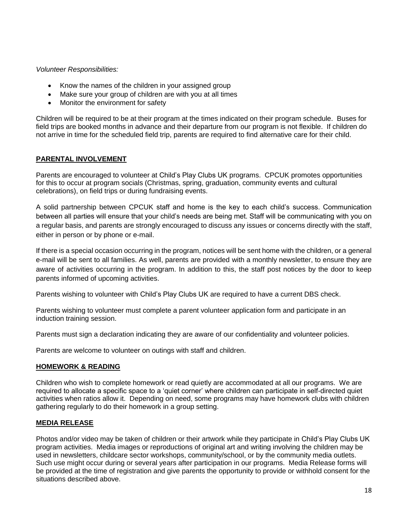#### *Volunteer Responsibilities:*

- Know the names of the children in your assigned group
- Make sure your group of children are with you at all times
- Monitor the environment for safety

Children will be required to be at their program at the times indicated on their program schedule. Buses for field trips are booked months in advance and their departure from our program is not flexible. If children do not arrive in time for the scheduled field trip, parents are required to find alternative care for their child.

#### **PARENTAL INVOLVEMENT**

Parents are encouraged to volunteer at Child's Play Clubs UK programs. CPCUK promotes opportunities for this to occur at program socials (Christmas, spring, graduation, community events and cultural celebrations), on field trips or during fundraising events.

A solid partnership between CPCUK staff and home is the key to each child's success. Communication between all parties will ensure that your child's needs are being met. Staff will be communicating with you on a regular basis, and parents are strongly encouraged to discuss any issues or concerns directly with the staff, either in person or by phone or e-mail.

If there is a special occasion occurring in the program, notices will be sent home with the children, or a general e-mail will be sent to all families. As well, parents are provided with a monthly newsletter, to ensure they are aware of activities occurring in the program. In addition to this, the staff post notices by the door to keep parents informed of upcoming activities.

Parents wishing to volunteer with Child's Play Clubs UK are required to have a current DBS check.

Parents wishing to volunteer must complete a parent volunteer application form and participate in an induction training session.

Parents must sign a declaration indicating they are aware of our confidentiality and volunteer policies.

Parents are welcome to volunteer on outings with staff and children.

#### **HOMEWORK & READING**

Children who wish to complete homework or read quietly are accommodated at all our programs. We are required to allocate a specific space to a 'quiet corner' where children can participate in self-directed quiet activities when ratios allow it. Depending on need, some programs may have homework clubs with children gathering regularly to do their homework in a group setting.

#### **MEDIA RELEASE**

Photos and/or video may be taken of children or their artwork while they participate in Child's Play Clubs UK program activities. Media images or reproductions of original art and writing involving the children may be used in newsletters, childcare sector workshops, community/school, or by the community media outlets. Such use might occur during or several years after participation in our programs. Media Release forms will be provided at the time of registration and give parents the opportunity to provide or withhold consent for the situations described above.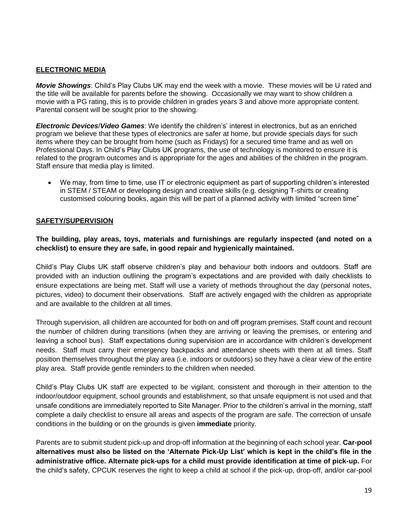#### **ELECTRONIC MEDIA**

*Movie Showings*: Child's Play Clubs UK may end the week with a movie. These movies will be U rated and the title will be available for parents before the showing. Occasionally we may want to show children a movie with a PG rating, this is to provide children in grades years 3 and above more appropriate content. Parental consent will be sought prior to the showing.

*Electronic Devices*/*Video Games*: We identify the children's' interest in electronics, but as an enriched program we believe that these types of electronics are safer at home, but provide specials days for such items where they can be brought from home (such as Fridays) for a secured time frame and as well on Professional Days. In Child's Play Clubs UK programs, the use of technology is monitored to ensure it is related to the program outcomes and is appropriate for the ages and abilities of the children in the program. Staff ensure that media play is limited.

We may, from time to time, use IT or electronic equipment as part of supporting children's interested in STEM / STEAM or developing design and creative skills (e.g. designing T-shirts or creating customised colouring books, again this will be part of a planned activity with limited "screen time"

#### **SAFETY/SUPERVISION**

#### **The building, play areas, toys, materials and furnishings are regularly inspected (and noted on a checklist) to ensure they are safe, in good repair and hygienically maintained.**

Child's Play Clubs UK staff observe children's play and behaviour both indoors and outdoors. Staff are provided with an induction outlining the program's expectations and are provided with daily checklists to ensure expectations are being met. Staff will use a variety of methods throughout the day (personal notes, pictures, video) to document their observations. Staff are actively engaged with the children as appropriate and are available to the children at all times.

Through supervision, all children are accounted for both on and off program premises. Staff count and recount the number of children during transitions (when they are arriving or leaving the premises, or entering and leaving a school bus). Staff expectations during supervision are in accordance with children's development needs. Staff must carry their emergency backpacks and attendance sheets with them at all times. Staff position themselves throughout the play area (i.e. indoors or outdoors) so they have a clear view of the entire play area. Staff provide gentle reminders to the children when needed.

Child's Play Clubs UK staff are expected to be vigilant, consistent and thorough in their attention to the indoor/outdoor equipment, school grounds and establishment, so that unsafe equipment is not used and that unsafe conditions are immediately reported to Site Manager. Prior to the children's arrival in the morning, staff complete a daily checklist to ensure all areas and aspects of the program are safe. The correction of unsafe conditions in the building or on the grounds is given **immediate** priority.

Parents are to submit student pick-up and drop-off information at the beginning of each school year. **Car-pool alternatives must also be listed on the 'Alternate Pick-Up List' which is kept in the child's file in the administrative office. Alternate pick-ups for a child must provide identification at time of pick-up.** For the child's safety, CPCUK reserves the right to keep a child at school if the pick-up, drop-off, and/or car-pool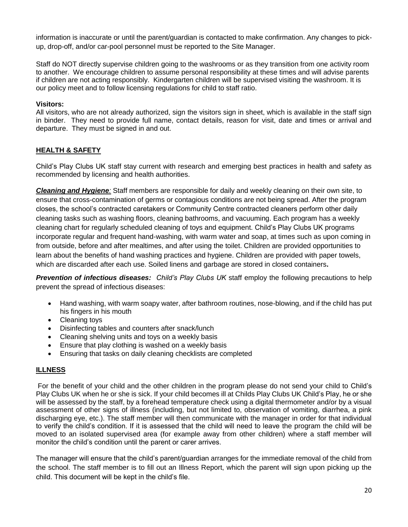information is inaccurate or until the parent/guardian is contacted to make confirmation. Any changes to pickup, drop-off, and/or car-pool personnel must be reported to the Site Manager.

Staff do NOT directly supervise children going to the washrooms or as they transition from one activity room to another. We encourage children to assume personal responsibility at these times and will advise parents if children are not acting responsibly. Kindergarten children will be supervised visiting the washroom. It is our policy meet and to follow licensing regulations for child to staff ratio.

#### **Visitors:**

All visitors, who are not already authorized, sign the visitors sign in sheet, which is available in the staff sign in binder. They need to provide full name, contact details, reason for visit, date and times or arrival and departure. They must be signed in and out.

#### **HEALTH & SAFETY**

Child's Play Clubs UK staff stay current with research and emerging best practices in health and safety as recommended by licensing and health authorities.

*Cleaning and Hygiene:* Staff members are responsible for daily and weekly cleaning on their own site, to ensure that cross-contamination of germs or contagious conditions are not being spread. After the program closes, the school's contracted caretakers or Community Centre contracted cleaners perform other daily cleaning tasks such as washing floors, cleaning bathrooms, and vacuuming. Each program has a weekly cleaning chart for regularly scheduled cleaning of toys and equipment. Child's Play Clubs UK programs incorporate regular and frequent hand-washing, with warm water and soap, at times such as upon coming in from outside, before and after mealtimes, and after using the toilet. Children are provided opportunities to learn about the benefits of hand washing practices and hygiene. Children are provided with paper towels, which are discarded after each use. Soiled linens and garbage are stored in closed containers**.**

*Prevention of infectious diseases: Child's Play Clubs UK* staff employ the following precautions to help prevent the spread of infectious diseases:

- Hand washing, with warm soapy water, after bathroom routines, nose-blowing, and if the child has put his fingers in his mouth
- Cleaning toys
- Disinfecting tables and counters after snack/lunch
- Cleaning shelving units and toys on a weekly basis
- Ensure that play clothing is washed on a weekly basis
- Ensuring that tasks on daily cleaning checklists are completed

#### **ILLNESS**

For the benefit of your child and the other children in the program please do not send your child to Child's Play Clubs UK when he or she is sick. If your child becomes ill at Childs Play Clubs UK Child's Play, he or she will be assessed by the staff, by a forehead temperature check using a digital thermometer and/or by a visual assessment of other signs of illness (including, but not limited to, observation of vomiting, diarrhea, a pink discharging eye, etc.). The staff member will then communicate with the manager in order for that individual to verify the child's condition. If it is assessed that the child will need to leave the program the child will be moved to an isolated supervised area (for example away from other children) where a staff member will monitor the child's condition until the parent or carer arrives.

The manager will ensure that the child's parent/guardian arranges for the immediate removal of the child from the school. The staff member is to fill out an Illness Report, which the parent will sign upon picking up the child. This document will be kept in the child's file.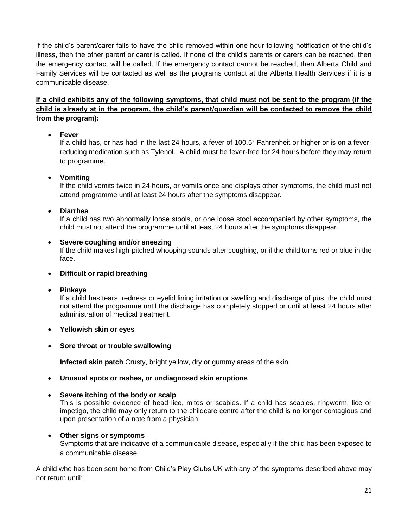If the child's parent/carer fails to have the child removed within one hour following notification of the child's illness, then the other parent or carer is called. If none of the child's parents or carers can be reached, then the emergency contact will be called. If the emergency contact cannot be reached, then Alberta Child and Family Services will be contacted as well as the programs contact at the Alberta Health Services if it is a communicable disease.

#### **If a child exhibits any of the following symptoms, that child must not be sent to the program (if the child is already at in the program, the child's parent/guardian will be contacted to remove the child from the program):**

#### **Fever**

If a child has, or has had in the last 24 hours, a fever of 100.5° Fahrenheit or higher or is on a feverreducing medication such as Tylenol. A child must be fever-free for 24 hours before they may return to programme.

#### **Vomiting**

If the child vomits twice in 24 hours, or vomits once and displays other symptoms, the child must not attend programme until at least 24 hours after the symptoms disappear.

#### **Diarrhea**

If a child has two abnormally loose stools, or one loose stool accompanied by other symptoms, the child must not attend the programme until at least 24 hours after the symptoms disappear.

#### **Severe coughing and/or sneezing**

If the child makes high-pitched whooping sounds after coughing, or if the child turns red or blue in the face.

#### **Difficult or rapid breathing**

#### **Pinkeye**

If a child has tears, redness or eyelid lining irritation or swelling and discharge of pus, the child must not attend the programme until the discharge has completely stopped or until at least 24 hours after administration of medical treatment.

#### **Yellowish skin or eyes**

#### **Sore throat or trouble swallowing**

**Infected skin patch** Crusty, bright yellow, dry or gummy areas of the skin.

#### **Unusual spots or rashes, or undiagnosed skin eruptions**

#### **Severe itching of the body or scalp**

This is possible evidence of head lice, mites or scabies. If a child has scabies, ringworm, lice or impetigo, the child may only return to the childcare centre after the child is no longer contagious and upon presentation of a note from a physician.

#### **Other signs or symptoms**

Symptoms that are indicative of a communicable disease, especially if the child has been exposed to a communicable disease.

A child who has been sent home from Child's Play Clubs UK with any of the symptoms described above may not return until: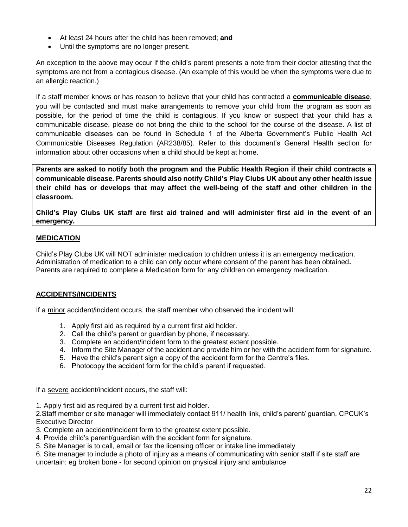- At least 24 hours after the child has been removed; **and**
- Until the symptoms are no longer present.

An exception to the above may occur if the child's parent presents a note from their doctor attesting that the symptoms are not from a contagious disease. (An example of this would be when the symptoms were due to an allergic reaction.)

If a staff member knows or has reason to believe that your child has contracted a **communicable disease**, you will be contacted and must make arrangements to remove your child from the program as soon as possible, for the period of time the child is contagious. If you know or suspect that your child has a communicable disease, please do not bring the child to the school for the course of the disease. A list of communicable diseases can be found in Schedule 1 of the Alberta Government's Public Health Act Communicable Diseases Regulation (AR238/85). Refer to this document's General Health section for information about other occasions when a child should be kept at home.

**Parents are asked to notify both the program and the Public Health Region if their child contracts a communicable disease. Parents should also notify Child's Play Clubs UK about any other health issue their child has or develops that may affect the well-being of the staff and other children in the classroom.**

**Child's Play Clubs UK staff are first aid trained and will administer first aid in the event of an emergency.**

#### **MEDICATION**

Child's Play Clubs UK will NOT administer medication to children unless it is an emergency medication. Administration of medication to a child can only occur where consent of the parent has been obtained**.**  Parents are required to complete a Medication form for any children on emergency medication.

#### **ACCIDENTS/INCIDENTS**

If a minor accident/incident occurs, the staff member who observed the incident will:

- 1. Apply first aid as required by a current first aid holder.
- 2. Call the child's parent or guardian by phone, if necessary.
- 3. Complete an accident/incident form to the greatest extent possible.
- 4. Inform the Site Manager of the accident and provide him or her with the accident form for signature.
- 5. Have the child's parent sign a copy of the accident form for the Centre's files.
- 6. Photocopy the accident form for the child's parent if requested.

If a severe accident/incident occurs, the staff will:

1. Apply first aid as required by a current first aid holder.

2.Staff member or site manager will immediately contact 911/ health link, child's parent/ guardian, CPCUK's Executive Director

- 3. Complete an accident/incident form to the greatest extent possible.
- 4. Provide child's parent/guardian with the accident form for signature.
- 5. Site Manager is to call, email or fax the licensing officer or intake line immediately

6. Site manager to include a photo of injury as a means of communicating with senior staff if site staff are

uncertain: eg broken bone - for second opinion on physical injury and ambulance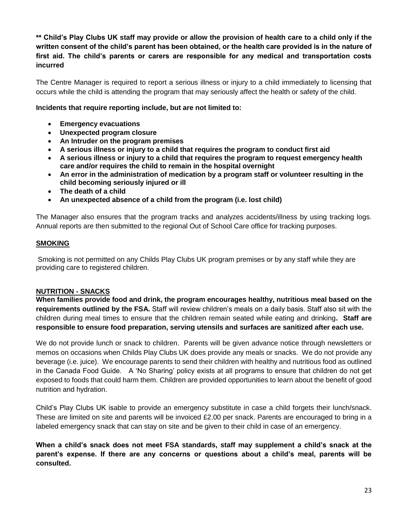**\*\* Child's Play Clubs UK staff may provide or allow the provision of health care to a child only if the written consent of the child's parent has been obtained, or the health care provided is in the nature of first aid. The child's parents or carers are responsible for any medical and transportation costs incurred** 

The Centre Manager is required to report a serious illness or injury to a child immediately to licensing that occurs while the child is attending the program that may seriously affect the health or safety of the child.

#### **Incidents that require reporting include, but are not limited to:**

- **Emergency evacuations**
- **Unexpected program closure**
- **An Intruder on the program premises**
- **A serious illness or injury to a child that requires the program to conduct first aid**
- **A serious illness or injury to a child that requires the program to request emergency health care and/or requires the child to remain in the hospital overnight**
- **An error in the administration of medication by a program staff or volunteer resulting in the child becoming seriously injured or ill**
- **The death of a child**
- **An unexpected absence of a child from the program (i.e. lost child)**

The Manager also ensures that the program tracks and analyzes accidents/illness by using tracking logs. Annual reports are then submitted to the regional Out of School Care office for tracking purposes.

#### **SMOKING**

Smoking is not permitted on any Childs Play Clubs UK program premises or by any staff while they are providing care to registered children.

#### **NUTRITION - SNACKS**

**When families provide food and drink, the program encourages healthy, nutritious meal based on the requirements outlined by the FSA.** Staff will review children's meals on a daily basis. Staff also sit with the children during meal times to ensure that the children remain seated while eating and drinking**. Staff are responsible to ensure food preparation, serving utensils and surfaces are sanitized after each use.**

We do not provide lunch or snack to children. Parents will be given advance notice through newsletters or memos on occasions when Childs Play Clubs UK does provide any meals or snacks. We do not provide any beverage (i.e. juice). We encourage parents to send their children with healthy and nutritious food as outlined in the Canada Food Guide. A 'No Sharing' policy exists at all programs to ensure that children do not get exposed to foods that could harm them. Children are provided opportunities to learn about the benefit of good nutrition and hydration.

Child's Play Clubs UK isable to provide an emergency substitute in case a child forgets their lunch/snack. These are limited on site and parents will be invoiced £2.00 per snack. Parents are encouraged to bring in a labeled emergency snack that can stay on site and be given to their child in case of an emergency.

**When a child's snack does not meet FSA standards, staff may supplement a child's snack at the parent's expense. If there are any concerns or questions about a child's meal, parents will be consulted.**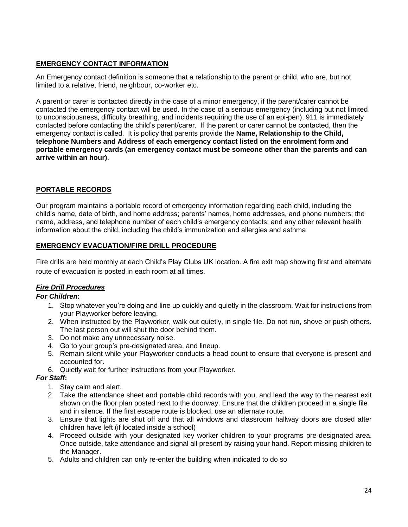#### **EMERGENCY CONTACT INFORMATION**

An Emergency contact definition is someone that a relationship to the parent or child, who are, but not limited to a relative, friend, neighbour, co-worker etc.

A parent or carer is contacted directly in the case of a minor emergency, if the parent/carer cannot be contacted the emergency contact will be used. In the case of a serious emergency (including but not limited to unconsciousness, difficulty breathing, and incidents requiring the use of an epi-pen), 911 is immediately contacted before contacting the child's parent/carer. If the parent or carer cannot be contacted, then the emergency contact is called. It is policy that parents provide the **Name, Relationship to the Child, telephone Numbers and Address of each emergency contact listed on the enrolment form and portable emergency cards (an emergency contact must be someone other than the parents and can arrive within an hour)**.

#### **PORTABLE RECORDS**

Our program maintains a portable record of emergency information regarding each child, including the child's name, date of birth, and home address; parents' names, home addresses, and phone numbers; the name, address, and telephone number of each child's emergency contacts; and any other relevant health information about the child, including the child's immunization and allergies and asthma

#### **EMERGENCY EVACUATION/FIRE DRILL PROCEDURE**

Fire drills are held monthly at each Child's Play Clubs UK location. A fire exit map showing first and alternate route of evacuation is posted in each room at all times.

#### *Fire Drill Procedures*

*For Children***:**

- 1. Stop whatever you're doing and line up quickly and quietly in the classroom. Wait for instructions from your Playworker before leaving.
- 2. When instructed by the Playworker, walk out quietly, in single file. Do not run, shove or push others. The last person out will shut the door behind them.
- 3. Do not make any unnecessary noise.
- 4. Go to your group's pre-designated area, and lineup.
- 5. Remain silent while your Playworker conducts a head count to ensure that everyone is present and accounted for.
- 6. Quietly wait for further instructions from your Playworker.

#### *For Staff***:**

- 1. Stay calm and alert.
- 2. Take the attendance sheet and portable child records with you, and lead the way to the nearest exit shown on the floor plan posted next to the doorway. Ensure that the children proceed in a single file and in silence. If the first escape route is blocked, use an alternate route.
- 3. Ensure that lights are shut off and that all windows and classroom hallway doors are closed after children have left (if located inside a school)
- 4. Proceed outside with your designated key worker children to your programs pre-designated area. Once outside, take attendance and signal all present by raising your hand. Report missing children to the Manager.
- 5. Adults and children can only re-enter the building when indicated to do so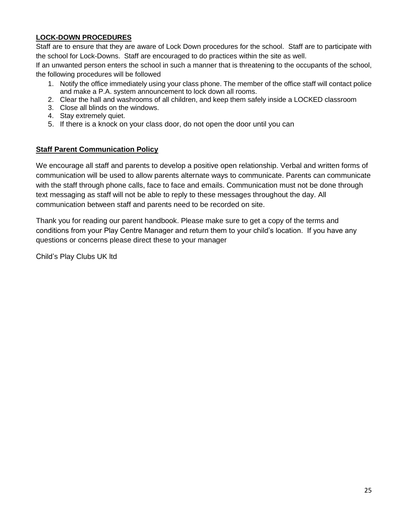#### **LOCK-DOWN PROCEDURES**

Staff are to ensure that they are aware of Lock Down procedures for the school. Staff are to participate with the school for Lock-Downs. Staff are encouraged to do practices within the site as well.

If an unwanted person enters the school in such a manner that is threatening to the occupants of the school, the following procedures will be followed

- 1. Notify the office immediately using your class phone. The member of the office staff will contact police and make a P.A. system announcement to lock down all rooms.
- 2. Clear the hall and washrooms of all children, and keep them safely inside a LOCKED classroom
- 3. Close all blinds on the windows.
- 4. Stay extremely quiet.
- 5. If there is a knock on your class door, do not open the door until you can

#### **Staff Parent Communication Policy**

We encourage all staff and parents to develop a positive open relationship. Verbal and written forms of communication will be used to allow parents alternate ways to communicate. Parents can communicate with the staff through phone calls, face to face and emails. Communication must not be done through text messaging as staff will not be able to reply to these messages throughout the day. All communication between staff and parents need to be recorded on site.

Thank you for reading our parent handbook. Please make sure to get a copy of the terms and conditions from your Play Centre Manager and return them to your child's location. If you have any questions or concerns please direct these to your manager

Child's Play Clubs UK ltd